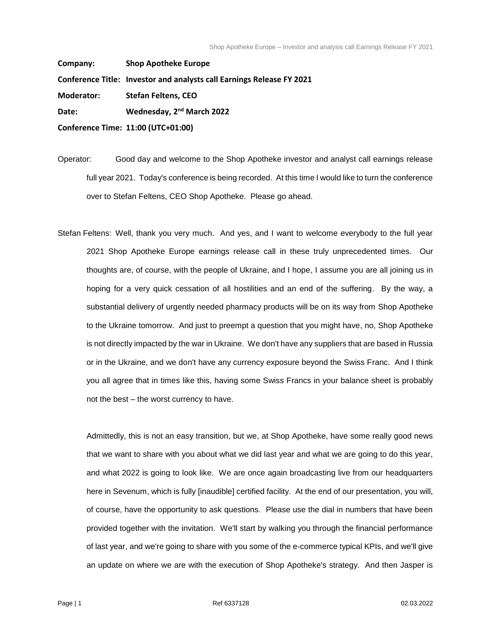**Company: Shop Apotheke Europe Conference Title: Investor and analysts call Earnings Release FY 2021 Moderator: Stefan Feltens, CEO Date: Wednesday, 2nd March 2022 Conference Time: 11:00 (UTC+01:00)**

Operator: Good day and welcome to the Shop Apotheke investor and analyst call earnings release full year 2021. Today's conference is being recorded. At this time I would like to turn the conference over to Stefan Feltens, CEO Shop Apotheke. Please go ahead.

Stefan Feltens: Well, thank you very much. And yes, and I want to welcome everybody to the full year 2021 Shop Apotheke Europe earnings release call in these truly unprecedented times. Our thoughts are, of course, with the people of Ukraine, and I hope, I assume you are all joining us in hoping for a very quick cessation of all hostilities and an end of the suffering. By the way, a substantial delivery of urgently needed pharmacy products will be on its way from Shop Apotheke to the Ukraine tomorrow. And just to preempt a question that you might have, no, Shop Apotheke is not directly impacted by the war in Ukraine. We don't have any suppliers that are based in Russia or in the Ukraine, and we don't have any currency exposure beyond the Swiss Franc. And I think you all agree that in times like this, having some Swiss Francs in your balance sheet is probably not the best – the worst currency to have.

Admittedly, this is not an easy transition, but we, at Shop Apotheke, have some really good news that we want to share with you about what we did last year and what we are going to do this year, and what 2022 is going to look like. We are once again broadcasting live from our headquarters here in Sevenum, which is fully [inaudible] certified facility. At the end of our presentation, you will, of course, have the opportunity to ask questions. Please use the dial in numbers that have been provided together with the invitation. We'll start by walking you through the financial performance of last year, and we're going to share with you some of the e-commerce typical KPIs, and we'll give an update on where we are with the execution of Shop Apotheke's strategy. And then Jasper is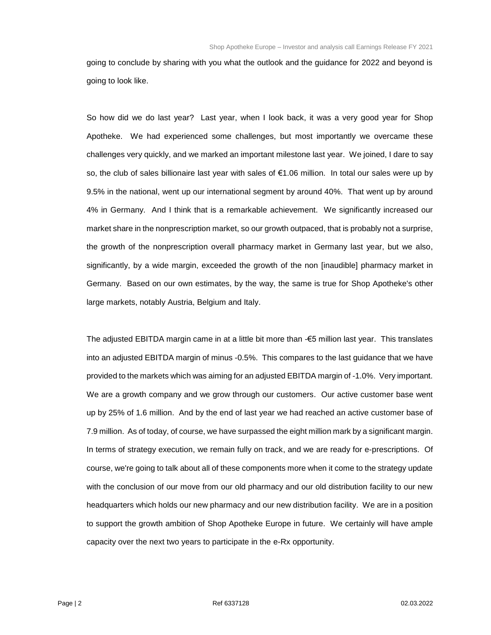going to conclude by sharing with you what the outlook and the guidance for 2022 and beyond is going to look like.

So how did we do last year? Last year, when I look back, it was a very good year for Shop Apotheke. We had experienced some challenges, but most importantly we overcame these challenges very quickly, and we marked an important milestone last year. We joined, I dare to say so, the club of sales billionaire last year with sales of €1.06 million. In total our sales were up by 9.5% in the national, went up our international segment by around 40%. That went up by around 4% in Germany. And I think that is a remarkable achievement. We significantly increased our market share in the nonprescription market, so our growth outpaced, that is probably not a surprise, the growth of the nonprescription overall pharmacy market in Germany last year, but we also, significantly, by a wide margin, exceeded the growth of the non [inaudible] pharmacy market in Germany. Based on our own estimates, by the way, the same is true for Shop Apotheke's other large markets, notably Austria, Belgium and Italy.

The adjusted EBITDA margin came in at a little bit more than -€5 million last year. This translates into an adjusted EBITDA margin of minus -0.5%. This compares to the last guidance that we have provided to the markets which was aiming for an adjusted EBITDA margin of -1.0%. Very important. We are a growth company and we grow through our customers. Our active customer base went up by 25% of 1.6 million. And by the end of last year we had reached an active customer base of 7.9 million. As of today, of course, we have surpassed the eight million mark by a significant margin. In terms of strategy execution, we remain fully on track, and we are ready for e-prescriptions. Of course, we're going to talk about all of these components more when it come to the strategy update with the conclusion of our move from our old pharmacy and our old distribution facility to our new headquarters which holds our new pharmacy and our new distribution facility. We are in a position to support the growth ambition of Shop Apotheke Europe in future. We certainly will have ample capacity over the next two years to participate in the e-Rx opportunity.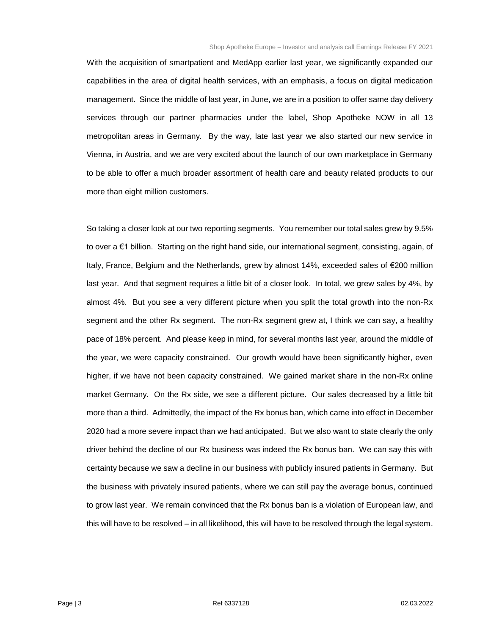With the acquisition of smartpatient and MedApp earlier last year, we significantly expanded our capabilities in the area of digital health services, with an emphasis, a focus on digital medication management. Since the middle of last year, in June, we are in a position to offer same day delivery services through our partner pharmacies under the label, Shop Apotheke NOW in all 13 metropolitan areas in Germany. By the way, late last year we also started our new service in Vienna, in Austria, and we are very excited about the launch of our own marketplace in Germany to be able to offer a much broader assortment of health care and beauty related products to our more than eight million customers.

So taking a closer look at our two reporting segments. You remember our total sales grew by 9.5% to over a €1 billion. Starting on the right hand side, our international segment, consisting, again, of Italy, France, Belgium and the Netherlands, grew by almost 14%, exceeded sales of €200 million last year. And that segment requires a little bit of a closer look. In total, we grew sales by 4%, by almost 4%. But you see a very different picture when you split the total growth into the non-Rx segment and the other Rx segment. The non-Rx segment grew at, I think we can say, a healthy pace of 18% percent. And please keep in mind, for several months last year, around the middle of the year, we were capacity constrained. Our growth would have been significantly higher, even higher, if we have not been capacity constrained. We gained market share in the non-Rx online market Germany. On the Rx side, we see a different picture. Our sales decreased by a little bit more than a third. Admittedly, the impact of the Rx bonus ban, which came into effect in December 2020 had a more severe impact than we had anticipated. But we also want to state clearly the only driver behind the decline of our Rx business was indeed the Rx bonus ban. We can say this with certainty because we saw a decline in our business with publicly insured patients in Germany. But the business with privately insured patients, where we can still pay the average bonus, continued to grow last year. We remain convinced that the Rx bonus ban is a violation of European law, and this will have to be resolved – in all likelihood, this will have to be resolved through the legal system.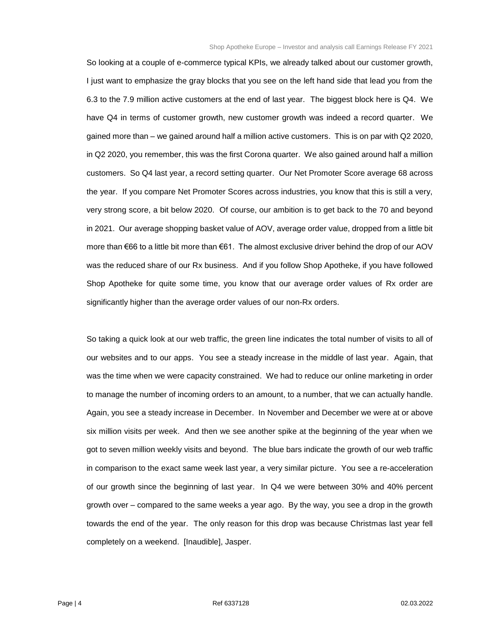So looking at a couple of e-commerce typical KPIs, we already talked about our customer growth, I just want to emphasize the gray blocks that you see on the left hand side that lead you from the 6.3 to the 7.9 million active customers at the end of last year. The biggest block here is Q4. We have Q4 in terms of customer growth, new customer growth was indeed a record quarter. We gained more than – we gained around half a million active customers. This is on par with Q2 2020, in Q2 2020, you remember, this was the first Corona quarter. We also gained around half a million customers. So Q4 last year, a record setting quarter. Our Net Promoter Score average 68 across the year. If you compare Net Promoter Scores across industries, you know that this is still a very, very strong score, a bit below 2020. Of course, our ambition is to get back to the 70 and beyond in 2021. Our average shopping basket value of AOV, average order value, dropped from a little bit more than €66 to a little bit more than €61. The almost exclusive driver behind the drop of our AOV was the reduced share of our Rx business. And if you follow Shop Apotheke, if you have followed Shop Apotheke for quite some time, you know that our average order values of Rx order are significantly higher than the average order values of our non-Rx orders.

So taking a quick look at our web traffic, the green line indicates the total number of visits to all of our websites and to our apps. You see a steady increase in the middle of last year. Again, that was the time when we were capacity constrained. We had to reduce our online marketing in order to manage the number of incoming orders to an amount, to a number, that we can actually handle. Again, you see a steady increase in December. In November and December we were at or above six million visits per week. And then we see another spike at the beginning of the year when we got to seven million weekly visits and beyond. The blue bars indicate the growth of our web traffic in comparison to the exact same week last year, a very similar picture. You see a re-acceleration of our growth since the beginning of last year. In Q4 we were between 30% and 40% percent growth over – compared to the same weeks a year ago. By the way, you see a drop in the growth towards the end of the year. The only reason for this drop was because Christmas last year fell completely on a weekend. [Inaudible], Jasper.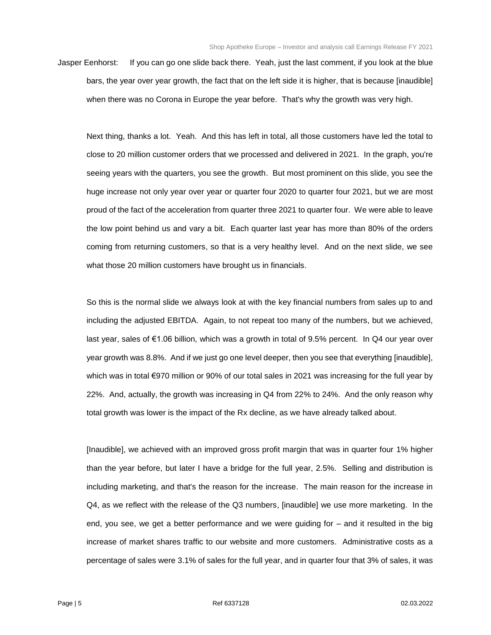Jasper Eenhorst: If you can go one slide back there. Yeah, just the last comment, if you look at the blue bars, the year over year growth, the fact that on the left side it is higher, that is because [inaudible] when there was no Corona in Europe the year before. That's why the growth was very high.

Next thing, thanks a lot. Yeah. And this has left in total, all those customers have led the total to close to 20 million customer orders that we processed and delivered in 2021. In the graph, you're seeing years with the quarters, you see the growth. But most prominent on this slide, you see the huge increase not only year over year or quarter four 2020 to quarter four 2021, but we are most proud of the fact of the acceleration from quarter three 2021 to quarter four. We were able to leave the low point behind us and vary a bit. Each quarter last year has more than 80% of the orders coming from returning customers, so that is a very healthy level. And on the next slide, we see what those 20 million customers have brought us in financials.

So this is the normal slide we always look at with the key financial numbers from sales up to and including the adjusted EBITDA. Again, to not repeat too many of the numbers, but we achieved, last year, sales of €1.06 billion, which was a growth in total of 9.5% percent. In Q4 our year over year growth was 8.8%. And if we just go one level deeper, then you see that everything [inaudible], which was in total €970 million or 90% of our total sales in 2021 was increasing for the full year by 22%. And, actually, the growth was increasing in Q4 from 22% to 24%. And the only reason why total growth was lower is the impact of the Rx decline, as we have already talked about.

[Inaudible], we achieved with an improved gross profit margin that was in quarter four 1% higher than the year before, but later I have a bridge for the full year, 2.5%. Selling and distribution is including marketing, and that's the reason for the increase. The main reason for the increase in Q4, as we reflect with the release of the Q3 numbers, [inaudible] we use more marketing. In the end, you see, we get a better performance and we were guiding for – and it resulted in the big increase of market shares traffic to our website and more customers. Administrative costs as a percentage of sales were 3.1% of sales for the full year, and in quarter four that 3% of sales, it was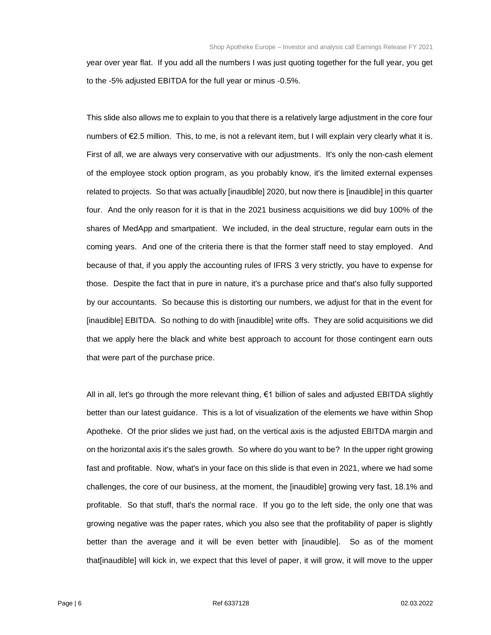year over year flat. If you add all the numbers I was just quoting together for the full year, you get to the -5% adjusted EBITDA for the full year or minus -0.5%.

This slide also allows me to explain to you that there is a relatively large adjustment in the core four numbers of €2.5 million. This, to me, is not a relevant item, but I will explain very clearly what it is. First of all, we are always very conservative with our adjustments. It's only the non-cash element of the employee stock option program, as you probably know, it's the limited external expenses related to projects. So that was actually [inaudible] 2020, but now there is [inaudible] in this quarter four. And the only reason for it is that in the 2021 business acquisitions we did buy 100% of the shares of MedApp and smartpatient. We included, in the deal structure, regular earn outs in the coming years. And one of the criteria there is that the former staff need to stay employed. And because of that, if you apply the accounting rules of IFRS 3 very strictly, you have to expense for those. Despite the fact that in pure in nature, it's a purchase price and that's also fully supported by our accountants. So because this is distorting our numbers, we adjust for that in the event for [inaudible] EBITDA. So nothing to do with [inaudible] write offs. They are solid acquisitions we did that we apply here the black and white best approach to account for those contingent earn outs that were part of the purchase price.

All in all, let's go through the more relevant thing, €1 billion of sales and adjusted EBITDA slightly better than our latest guidance. This is a lot of visualization of the elements we have within Shop Apotheke. Of the prior slides we just had, on the vertical axis is the adjusted EBITDA margin and on the horizontal axis it's the sales growth. So where do you want to be? In the upper right growing fast and profitable. Now, what's in your face on this slide is that even in 2021, where we had some challenges, the core of our business, at the moment, the [inaudible] growing very fast, 18.1% and profitable. So that stuff, that's the normal race. If you go to the left side, the only one that was growing negative was the paper rates, which you also see that the profitability of paper is slightly better than the average and it will be even better with [inaudible]. So as of the moment that[inaudible] will kick in, we expect that this level of paper, it will grow, it will move to the upper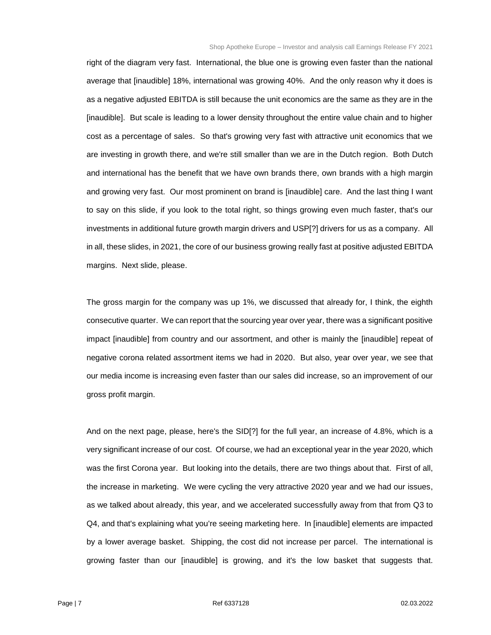right of the diagram very fast. International, the blue one is growing even faster than the national average that [inaudible] 18%, international was growing 40%. And the only reason why it does is as a negative adjusted EBITDA is still because the unit economics are the same as they are in the [inaudible]. But scale is leading to a lower density throughout the entire value chain and to higher cost as a percentage of sales. So that's growing very fast with attractive unit economics that we are investing in growth there, and we're still smaller than we are in the Dutch region. Both Dutch and international has the benefit that we have own brands there, own brands with a high margin and growing very fast. Our most prominent on brand is [inaudible] care. And the last thing I want to say on this slide, if you look to the total right, so things growing even much faster, that's our investments in additional future growth margin drivers and USP[?] drivers for us as a company. All in all, these slides, in 2021, the core of our business growing really fast at positive adjusted EBITDA margins. Next slide, please.

The gross margin for the company was up 1%, we discussed that already for, I think, the eighth consecutive quarter. We can report that the sourcing year over year, there was a significant positive impact [inaudible] from country and our assortment, and other is mainly the [inaudible] repeat of negative corona related assortment items we had in 2020. But also, year over year, we see that our media income is increasing even faster than our sales did increase, so an improvement of our gross profit margin.

And on the next page, please, here's the SID[?] for the full year, an increase of 4.8%, which is a very significant increase of our cost. Of course, we had an exceptional year in the year 2020, which was the first Corona year. But looking into the details, there are two things about that. First of all, the increase in marketing. We were cycling the very attractive 2020 year and we had our issues, as we talked about already, this year, and we accelerated successfully away from that from Q3 to Q4, and that's explaining what you're seeing marketing here. In [inaudible] elements are impacted by a lower average basket. Shipping, the cost did not increase per parcel. The international is growing faster than our [inaudible] is growing, and it's the low basket that suggests that.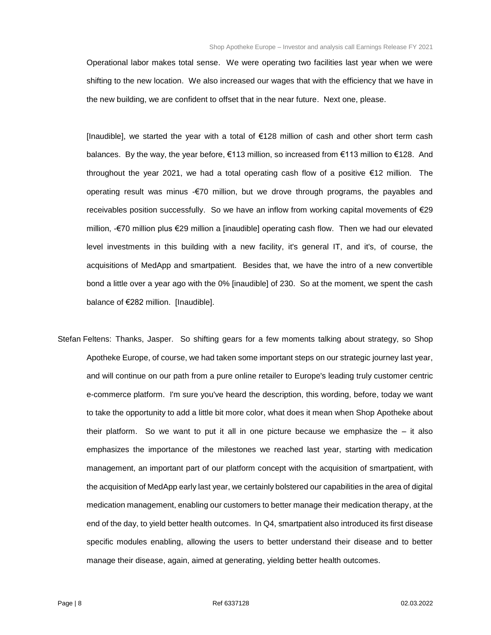Operational labor makes total sense. We were operating two facilities last year when we were shifting to the new location. We also increased our wages that with the efficiency that we have in the new building, we are confident to offset that in the near future. Next one, please.

[Inaudible], we started the year with a total of €128 million of cash and other short term cash balances. By the way, the year before, €113 million, so increased from €113 million to €128. And throughout the year 2021, we had a total operating cash flow of a positive €12 million. The operating result was minus -€70 million, but we drove through programs, the payables and receivables position successfully. So we have an inflow from working capital movements of €29 million, -€70 million plus €29 million a [inaudible] operating cash flow. Then we had our elevated level investments in this building with a new facility, it's general IT, and it's, of course, the acquisitions of MedApp and smartpatient. Besides that, we have the intro of a new convertible bond a little over a year ago with the 0% [inaudible] of 230. So at the moment, we spent the cash balance of €282 million. [Inaudible].

Stefan Feltens: Thanks, Jasper. So shifting gears for a few moments talking about strategy, so Shop Apotheke Europe, of course, we had taken some important steps on our strategic journey last year, and will continue on our path from a pure online retailer to Europe's leading truly customer centric e-commerce platform. I'm sure you've heard the description, this wording, before, today we want to take the opportunity to add a little bit more color, what does it mean when Shop Apotheke about their platform. So we want to put it all in one picture because we emphasize the  $-$  it also emphasizes the importance of the milestones we reached last year, starting with medication management, an important part of our platform concept with the acquisition of smartpatient, with the acquisition of MedApp early last year, we certainly bolstered our capabilities in the area of digital medication management, enabling our customers to better manage their medication therapy, at the end of the day, to yield better health outcomes. In Q4, smartpatient also introduced its first disease specific modules enabling, allowing the users to better understand their disease and to better manage their disease, again, aimed at generating, yielding better health outcomes.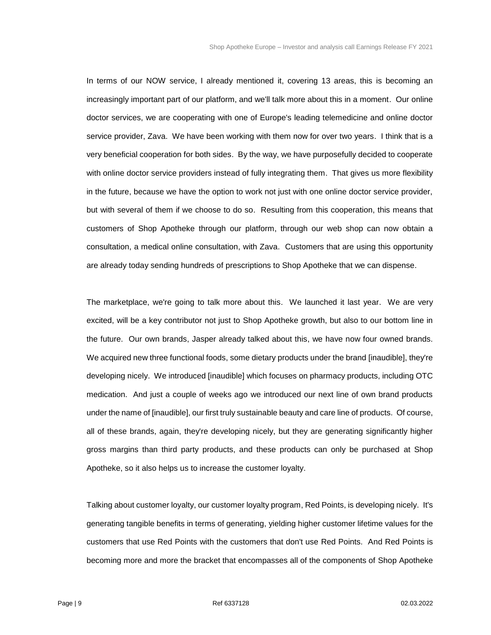In terms of our NOW service, I already mentioned it, covering 13 areas, this is becoming an increasingly important part of our platform, and we'll talk more about this in a moment. Our online doctor services, we are cooperating with one of Europe's leading telemedicine and online doctor service provider, Zava. We have been working with them now for over two years. I think that is a very beneficial cooperation for both sides. By the way, we have purposefully decided to cooperate with online doctor service providers instead of fully integrating them. That gives us more flexibility in the future, because we have the option to work not just with one online doctor service provider, but with several of them if we choose to do so. Resulting from this cooperation, this means that customers of Shop Apotheke through our platform, through our web shop can now obtain a consultation, a medical online consultation, with Zava. Customers that are using this opportunity are already today sending hundreds of prescriptions to Shop Apotheke that we can dispense.

The marketplace, we're going to talk more about this. We launched it last year. We are very excited, will be a key contributor not just to Shop Apotheke growth, but also to our bottom line in the future. Our own brands, Jasper already talked about this, we have now four owned brands. We acquired new three functional foods, some dietary products under the brand [inaudible], they're developing nicely. We introduced [inaudible] which focuses on pharmacy products, including OTC medication. And just a couple of weeks ago we introduced our next line of own brand products under the name of [inaudible], our first truly sustainable beauty and care line of products. Of course, all of these brands, again, they're developing nicely, but they are generating significantly higher gross margins than third party products, and these products can only be purchased at Shop Apotheke, so it also helps us to increase the customer loyalty.

Talking about customer loyalty, our customer loyalty program, Red Points, is developing nicely. It's generating tangible benefits in terms of generating, yielding higher customer lifetime values for the customers that use Red Points with the customers that don't use Red Points. And Red Points is becoming more and more the bracket that encompasses all of the components of Shop Apotheke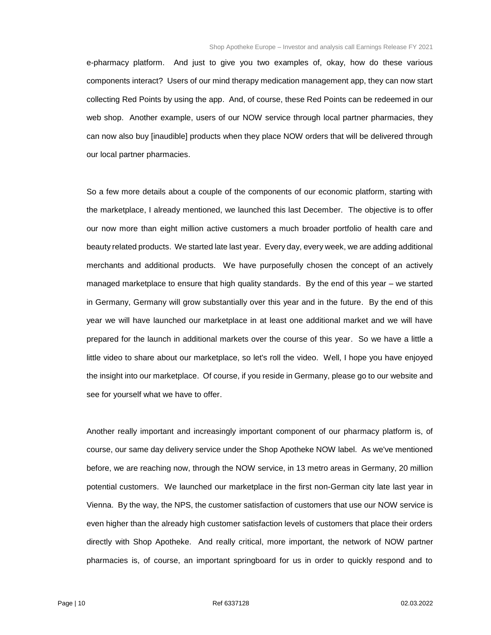e-pharmacy platform. And just to give you two examples of, okay, how do these various components interact? Users of our mind therapy medication management app, they can now start collecting Red Points by using the app. And, of course, these Red Points can be redeemed in our web shop. Another example, users of our NOW service through local partner pharmacies, they can now also buy [inaudible] products when they place NOW orders that will be delivered through our local partner pharmacies.

So a few more details about a couple of the components of our economic platform, starting with the marketplace, I already mentioned, we launched this last December. The objective is to offer our now more than eight million active customers a much broader portfolio of health care and beauty related products. We started late last year. Every day, every week, we are adding additional merchants and additional products. We have purposefully chosen the concept of an actively managed marketplace to ensure that high quality standards. By the end of this year – we started in Germany, Germany will grow substantially over this year and in the future. By the end of this year we will have launched our marketplace in at least one additional market and we will have prepared for the launch in additional markets over the course of this year. So we have a little a little video to share about our marketplace, so let's roll the video. Well, I hope you have enjoyed the insight into our marketplace. Of course, if you reside in Germany, please go to our website and see for yourself what we have to offer.

Another really important and increasingly important component of our pharmacy platform is, of course, our same day delivery service under the Shop Apotheke NOW label. As we've mentioned before, we are reaching now, through the NOW service, in 13 metro areas in Germany, 20 million potential customers. We launched our marketplace in the first non-German city late last year in Vienna. By the way, the NPS, the customer satisfaction of customers that use our NOW service is even higher than the already high customer satisfaction levels of customers that place their orders directly with Shop Apotheke. And really critical, more important, the network of NOW partner pharmacies is, of course, an important springboard for us in order to quickly respond and to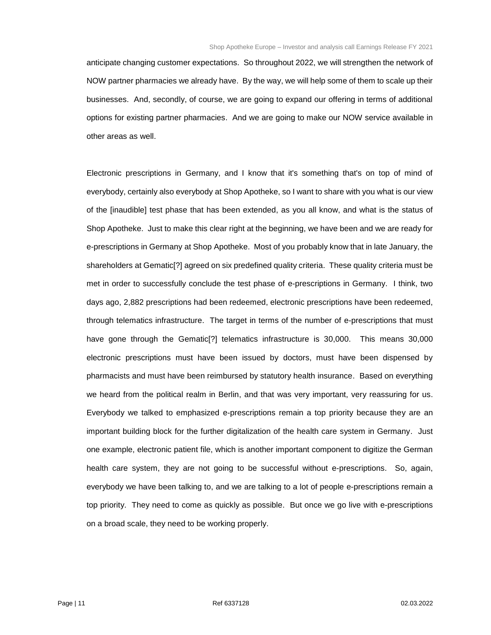anticipate changing customer expectations. So throughout 2022, we will strengthen the network of NOW partner pharmacies we already have. By the way, we will help some of them to scale up their businesses. And, secondly, of course, we are going to expand our offering in terms of additional options for existing partner pharmacies. And we are going to make our NOW service available in other areas as well.

Electronic prescriptions in Germany, and I know that it's something that's on top of mind of everybody, certainly also everybody at Shop Apotheke, so I want to share with you what is our view of the [inaudible] test phase that has been extended, as you all know, and what is the status of Shop Apotheke. Just to make this clear right at the beginning, we have been and we are ready for e-prescriptions in Germany at Shop Apotheke. Most of you probably know that in late January, the shareholders at Gematic[?] agreed on six predefined quality criteria. These quality criteria must be met in order to successfully conclude the test phase of e-prescriptions in Germany. I think, two days ago, 2,882 prescriptions had been redeemed, electronic prescriptions have been redeemed, through telematics infrastructure. The target in terms of the number of e-prescriptions that must have gone through the Gematic<sup>[?]</sup> telematics infrastructure is 30,000. This means 30,000 electronic prescriptions must have been issued by doctors, must have been dispensed by pharmacists and must have been reimbursed by statutory health insurance. Based on everything we heard from the political realm in Berlin, and that was very important, very reassuring for us. Everybody we talked to emphasized e-prescriptions remain a top priority because they are an important building block for the further digitalization of the health care system in Germany. Just one example, electronic patient file, which is another important component to digitize the German health care system, they are not going to be successful without e-prescriptions. So, again, everybody we have been talking to, and we are talking to a lot of people e-prescriptions remain a top priority. They need to come as quickly as possible. But once we go live with e-prescriptions on a broad scale, they need to be working properly.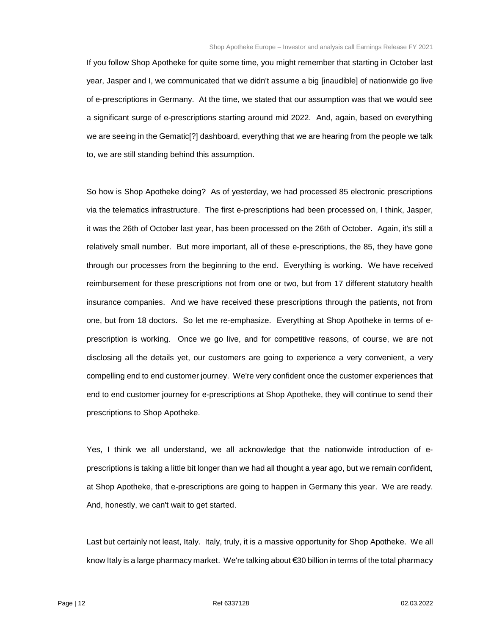If you follow Shop Apotheke for quite some time, you might remember that starting in October last year, Jasper and I, we communicated that we didn't assume a big [inaudible] of nationwide go live of e-prescriptions in Germany. At the time, we stated that our assumption was that we would see a significant surge of e-prescriptions starting around mid 2022. And, again, based on everything we are seeing in the Gematic[?] dashboard, everything that we are hearing from the people we talk to, we are still standing behind this assumption.

So how is Shop Apotheke doing? As of yesterday, we had processed 85 electronic prescriptions via the telematics infrastructure. The first e-prescriptions had been processed on, I think, Jasper, it was the 26th of October last year, has been processed on the 26th of October. Again, it's still a relatively small number. But more important, all of these e-prescriptions, the 85, they have gone through our processes from the beginning to the end. Everything is working. We have received reimbursement for these prescriptions not from one or two, but from 17 different statutory health insurance companies. And we have received these prescriptions through the patients, not from one, but from 18 doctors. So let me re-emphasize. Everything at Shop Apotheke in terms of eprescription is working. Once we go live, and for competitive reasons, of course, we are not disclosing all the details yet, our customers are going to experience a very convenient, a very compelling end to end customer journey. We're very confident once the customer experiences that end to end customer journey for e-prescriptions at Shop Apotheke, they will continue to send their prescriptions to Shop Apotheke.

Yes, I think we all understand, we all acknowledge that the nationwide introduction of eprescriptions is taking a little bit longer than we had all thought a year ago, but we remain confident, at Shop Apotheke, that e-prescriptions are going to happen in Germany this year. We are ready. And, honestly, we can't wait to get started.

Last but certainly not least, Italy. Italy, truly, it is a massive opportunity for Shop Apotheke. We all know Italy is a large pharmacy market. We're talking about €30 billion in terms of the total pharmacy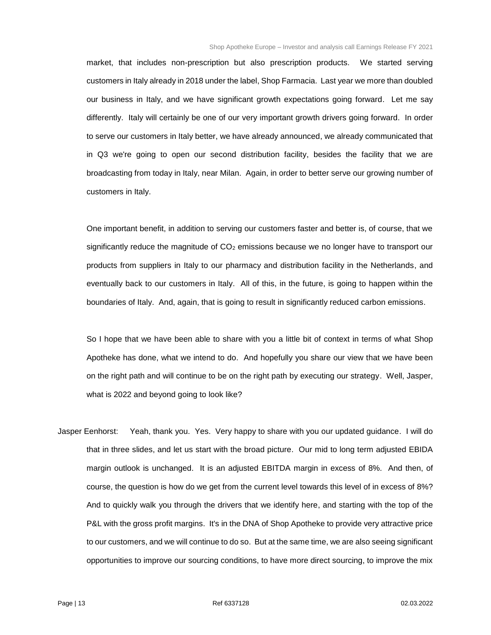market, that includes non-prescription but also prescription products. We started serving customers in Italy already in 2018 under the label, Shop Farmacia. Last year we more than doubled our business in Italy, and we have significant growth expectations going forward. Let me say differently. Italy will certainly be one of our very important growth drivers going forward. In order to serve our customers in Italy better, we have already announced, we already communicated that in Q3 we're going to open our second distribution facility, besides the facility that we are broadcasting from today in Italy, near Milan. Again, in order to better serve our growing number of customers in Italy.

One important benefit, in addition to serving our customers faster and better is, of course, that we significantly reduce the magnitude of  $CO<sub>2</sub>$  emissions because we no longer have to transport our products from suppliers in Italy to our pharmacy and distribution facility in the Netherlands, and eventually back to our customers in Italy. All of this, in the future, is going to happen within the boundaries of Italy. And, again, that is going to result in significantly reduced carbon emissions.

So I hope that we have been able to share with you a little bit of context in terms of what Shop Apotheke has done, what we intend to do. And hopefully you share our view that we have been on the right path and will continue to be on the right path by executing our strategy. Well, Jasper, what is 2022 and beyond going to look like?

Jasper Eenhorst: Yeah, thank you. Yes. Very happy to share with you our updated guidance. I will do that in three slides, and let us start with the broad picture. Our mid to long term adjusted EBIDA margin outlook is unchanged. It is an adjusted EBITDA margin in excess of 8%. And then, of course, the question is how do we get from the current level towards this level of in excess of 8%? And to quickly walk you through the drivers that we identify here, and starting with the top of the P&L with the gross profit margins. It's in the DNA of Shop Apotheke to provide very attractive price to our customers, and we will continue to do so. But at the same time, we are also seeing significant opportunities to improve our sourcing conditions, to have more direct sourcing, to improve the mix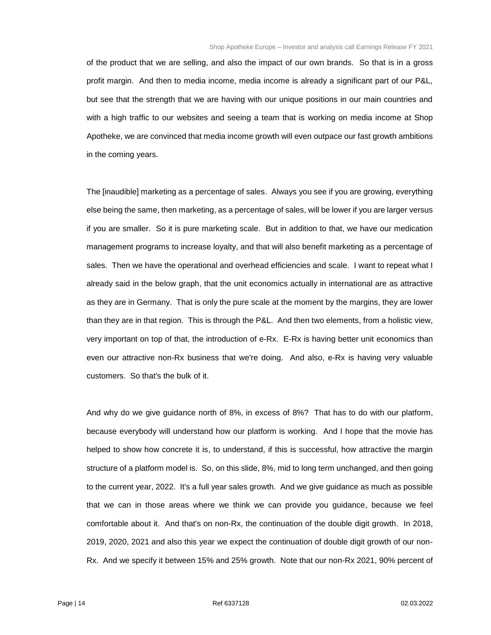of the product that we are selling, and also the impact of our own brands. So that is in a gross profit margin. And then to media income, media income is already a significant part of our P&L, but see that the strength that we are having with our unique positions in our main countries and with a high traffic to our websites and seeing a team that is working on media income at Shop Apotheke, we are convinced that media income growth will even outpace our fast growth ambitions in the coming years.

The [inaudible] marketing as a percentage of sales. Always you see if you are growing, everything else being the same, then marketing, as a percentage of sales, will be lower if you are larger versus if you are smaller. So it is pure marketing scale. But in addition to that, we have our medication management programs to increase loyalty, and that will also benefit marketing as a percentage of sales. Then we have the operational and overhead efficiencies and scale. I want to repeat what I already said in the below graph, that the unit economics actually in international are as attractive as they are in Germany. That is only the pure scale at the moment by the margins, they are lower than they are in that region. This is through the P&L. And then two elements, from a holistic view, very important on top of that, the introduction of e-Rx. E-Rx is having better unit economics than even our attractive non-Rx business that we're doing. And also, e-Rx is having very valuable customers. So that's the bulk of it.

And why do we give guidance north of 8%, in excess of 8%? That has to do with our platform, because everybody will understand how our platform is working. And I hope that the movie has helped to show how concrete it is, to understand, if this is successful, how attractive the margin structure of a platform model is. So, on this slide, 8%, mid to long term unchanged, and then going to the current year, 2022. It's a full year sales growth. And we give guidance as much as possible that we can in those areas where we think we can provide you guidance, because we feel comfortable about it. And that's on non-Rx, the continuation of the double digit growth. In 2018, 2019, 2020, 2021 and also this year we expect the continuation of double digit growth of our non-Rx. And we specify it between 15% and 25% growth. Note that our non-Rx 2021, 90% percent of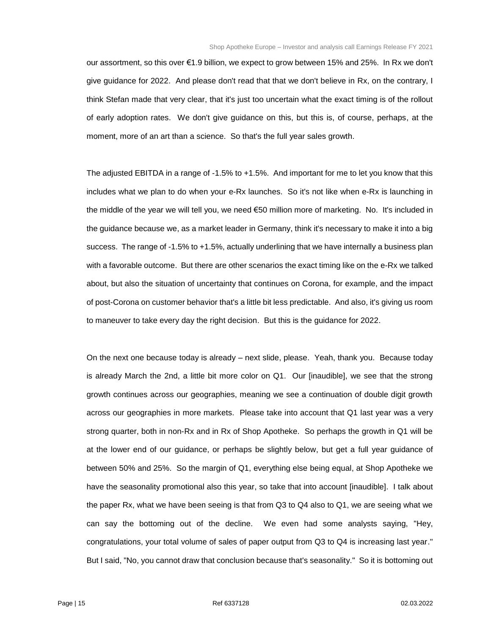our assortment, so this over €1.9 billion, we expect to grow between 15% and 25%. In Rx we don't give guidance for 2022. And please don't read that that we don't believe in Rx, on the contrary, I think Stefan made that very clear, that it's just too uncertain what the exact timing is of the rollout of early adoption rates. We don't give guidance on this, but this is, of course, perhaps, at the moment, more of an art than a science. So that's the full year sales growth.

The adjusted EBITDA in a range of -1.5% to +1.5%. And important for me to let you know that this includes what we plan to do when your e-Rx launches. So it's not like when e-Rx is launching in the middle of the year we will tell you, we need €50 million more of marketing. No. It's included in the guidance because we, as a market leader in Germany, think it's necessary to make it into a big success. The range of -1.5% to +1.5%, actually underlining that we have internally a business plan with a favorable outcome. But there are other scenarios the exact timing like on the e-Rx we talked about, but also the situation of uncertainty that continues on Corona, for example, and the impact of post-Corona on customer behavior that's a little bit less predictable. And also, it's giving us room to maneuver to take every day the right decision. But this is the guidance for 2022.

On the next one because today is already – next slide, please. Yeah, thank you. Because today is already March the 2nd, a little bit more color on Q1. Our [inaudible], we see that the strong growth continues across our geographies, meaning we see a continuation of double digit growth across our geographies in more markets. Please take into account that Q1 last year was a very strong quarter, both in non-Rx and in Rx of Shop Apotheke. So perhaps the growth in Q1 will be at the lower end of our guidance, or perhaps be slightly below, but get a full year guidance of between 50% and 25%. So the margin of Q1, everything else being equal, at Shop Apotheke we have the seasonality promotional also this year, so take that into account [inaudible]. I talk about the paper Rx, what we have been seeing is that from Q3 to Q4 also to Q1, we are seeing what we can say the bottoming out of the decline. We even had some analysts saying, "Hey, congratulations, your total volume of sales of paper output from Q3 to Q4 is increasing last year." But I said, "No, you cannot draw that conclusion because that's seasonality." So it is bottoming out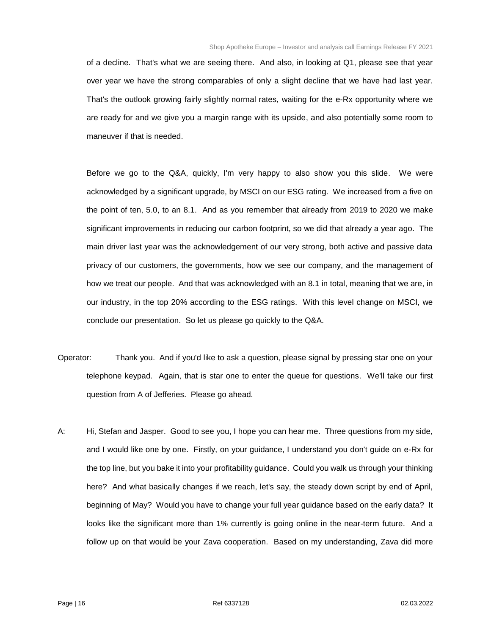of a decline. That's what we are seeing there. And also, in looking at Q1, please see that year over year we have the strong comparables of only a slight decline that we have had last year. That's the outlook growing fairly slightly normal rates, waiting for the e-Rx opportunity where we are ready for and we give you a margin range with its upside, and also potentially some room to maneuver if that is needed.

Before we go to the Q&A, quickly, I'm very happy to also show you this slide. We were acknowledged by a significant upgrade, by MSCI on our ESG rating. We increased from a five on the point of ten, 5.0, to an 8.1. And as you remember that already from 2019 to 2020 we make significant improvements in reducing our carbon footprint, so we did that already a year ago. The main driver last year was the acknowledgement of our very strong, both active and passive data privacy of our customers, the governments, how we see our company, and the management of how we treat our people. And that was acknowledged with an 8.1 in total, meaning that we are, in our industry, in the top 20% according to the ESG ratings. With this level change on MSCI, we conclude our presentation. So let us please go quickly to the Q&A.

- Operator: Thank you. And if you'd like to ask a question, please signal by pressing star one on your telephone keypad. Again, that is star one to enter the queue for questions. We'll take our first question from A of Jefferies. Please go ahead.
- A: Hi, Stefan and Jasper. Good to see you, I hope you can hear me. Three questions from my side, and I would like one by one. Firstly, on your guidance, I understand you don't guide on e-Rx for the top line, but you bake it into your profitability guidance. Could you walk us through your thinking here? And what basically changes if we reach, let's say, the steady down script by end of April, beginning of May? Would you have to change your full year guidance based on the early data? It looks like the significant more than 1% currently is going online in the near-term future. And a follow up on that would be your Zava cooperation. Based on my understanding, Zava did more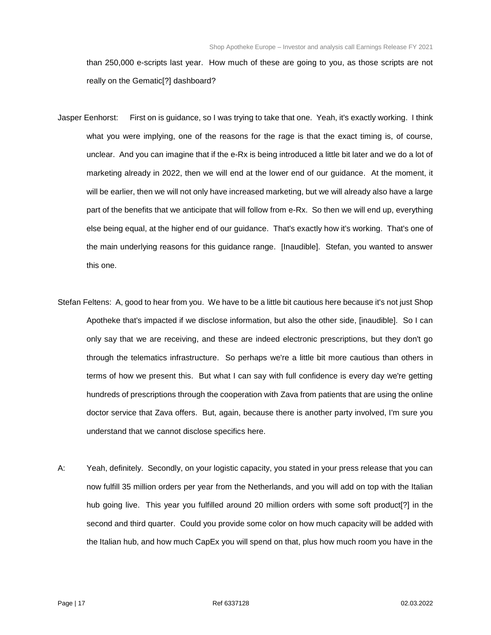than 250,000 e-scripts last year. How much of these are going to you, as those scripts are not really on the Gematic[?] dashboard?

- Jasper Eenhorst: First on is guidance, so I was trying to take that one. Yeah, it's exactly working. I think what you were implying, one of the reasons for the rage is that the exact timing is, of course, unclear. And you can imagine that if the e-Rx is being introduced a little bit later and we do a lot of marketing already in 2022, then we will end at the lower end of our guidance. At the moment, it will be earlier, then we will not only have increased marketing, but we will already also have a large part of the benefits that we anticipate that will follow from e-Rx. So then we will end up, everything else being equal, at the higher end of our guidance. That's exactly how it's working. That's one of the main underlying reasons for this guidance range. [Inaudible]. Stefan, you wanted to answer this one.
- Stefan Feltens: A, good to hear from you. We have to be a little bit cautious here because it's not just Shop Apotheke that's impacted if we disclose information, but also the other side, [inaudible]. So I can only say that we are receiving, and these are indeed electronic prescriptions, but they don't go through the telematics infrastructure. So perhaps we're a little bit more cautious than others in terms of how we present this. But what I can say with full confidence is every day we're getting hundreds of prescriptions through the cooperation with Zava from patients that are using the online doctor service that Zava offers. But, again, because there is another party involved, I'm sure you understand that we cannot disclose specifics here.
- A: Yeah, definitely. Secondly, on your logistic capacity, you stated in your press release that you can now fulfill 35 million orders per year from the Netherlands, and you will add on top with the Italian hub going live. This year you fulfilled around 20 million orders with some soft product[?] in the second and third quarter. Could you provide some color on how much capacity will be added with the Italian hub, and how much CapEx you will spend on that, plus how much room you have in the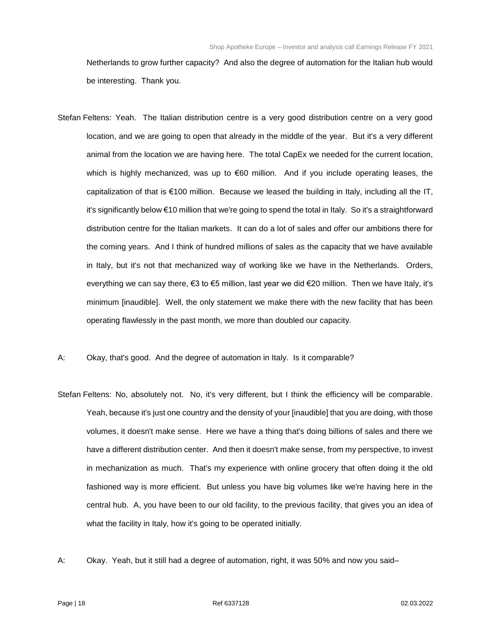Netherlands to grow further capacity? And also the degree of automation for the Italian hub would be interesting. Thank you.

- Stefan Feltens: Yeah. The Italian distribution centre is a very good distribution centre on a very good location, and we are going to open that already in the middle of the year. But it's a very different animal from the location we are having here. The total CapEx we needed for the current location, which is highly mechanized, was up to €60 million. And if you include operating leases, the capitalization of that is €100 million. Because we leased the building in Italy, including all the IT, it's significantly below €10 million that we're going to spend the total in Italy. So it's a straightforward distribution centre for the Italian markets. It can do a lot of sales and offer our ambitions there for the coming years. And I think of hundred millions of sales as the capacity that we have available in Italy, but it's not that mechanized way of working like we have in the Netherlands. Orders, everything we can say there, €3 to €5 million, last year we did €20 million. Then we have Italy, it's minimum [inaudible]. Well, the only statement we make there with the new facility that has been operating flawlessly in the past month, we more than doubled our capacity.
- A: Okay, that's good. And the degree of automation in Italy. Is it comparable?
- Stefan Feltens: No, absolutely not. No, it's very different, but I think the efficiency will be comparable. Yeah, because it's just one country and the density of your [inaudible] that you are doing, with those volumes, it doesn't make sense. Here we have a thing that's doing billions of sales and there we have a different distribution center. And then it doesn't make sense, from my perspective, to invest in mechanization as much. That's my experience with online grocery that often doing it the old fashioned way is more efficient. But unless you have big volumes like we're having here in the central hub. A, you have been to our old facility, to the previous facility, that gives you an idea of what the facility in Italy, how it's going to be operated initially.
- A: Okay. Yeah, but it still had a degree of automation, right, it was 50% and now you said–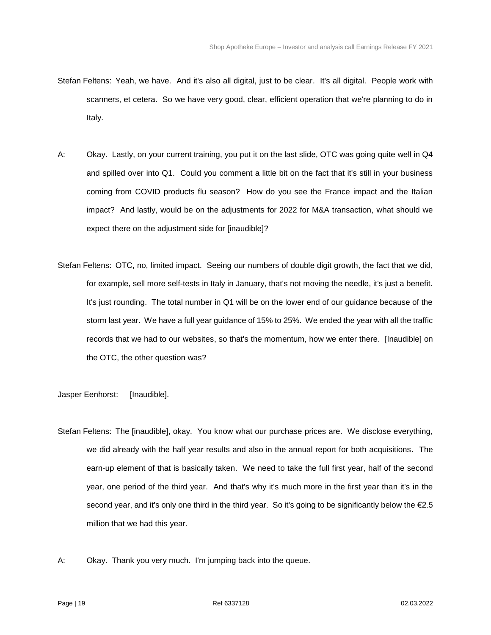- Stefan Feltens: Yeah, we have. And it's also all digital, just to be clear. It's all digital. People work with scanners, et cetera. So we have very good, clear, efficient operation that we're planning to do in Italy.
- A: Okay. Lastly, on your current training, you put it on the last slide, OTC was going quite well in Q4 and spilled over into Q1. Could you comment a little bit on the fact that it's still in your business coming from COVID products flu season? How do you see the France impact and the Italian impact? And lastly, would be on the adjustments for 2022 for M&A transaction, what should we expect there on the adjustment side for [inaudible]?
- Stefan Feltens: OTC, no, limited impact. Seeing our numbers of double digit growth, the fact that we did, for example, sell more self-tests in Italy in January, that's not moving the needle, it's just a benefit. It's just rounding. The total number in Q1 will be on the lower end of our guidance because of the storm last year. We have a full year guidance of 15% to 25%. We ended the year with all the traffic records that we had to our websites, so that's the momentum, how we enter there. [Inaudible] on the OTC, the other question was?

Jasper Eenhorst: [Inaudible].

- Stefan Feltens: The [inaudible], okay. You know what our purchase prices are. We disclose everything, we did already with the half year results and also in the annual report for both acquisitions. The earn-up element of that is basically taken. We need to take the full first year, half of the second year, one period of the third year. And that's why it's much more in the first year than it's in the second year, and it's only one third in the third year. So it's going to be significantly below the €2.5 million that we had this year.
- A: Okay. Thank you very much. I'm jumping back into the queue.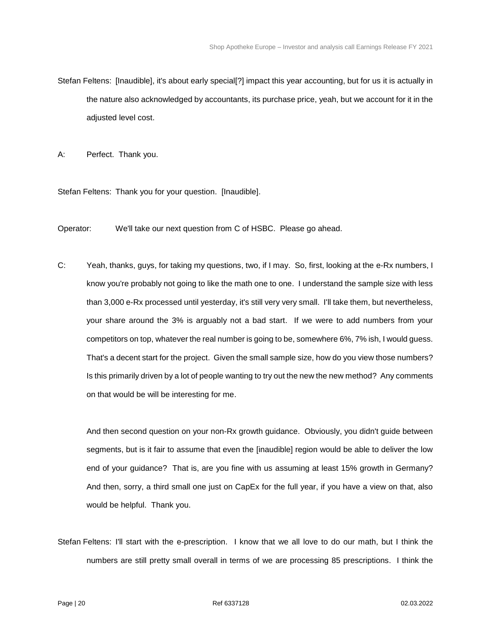Stefan Feltens: [Inaudible], it's about early special[?] impact this year accounting, but for us it is actually in the nature also acknowledged by accountants, its purchase price, yeah, but we account for it in the adjusted level cost.

A: Perfect. Thank you.

Stefan Feltens: Thank you for your question. [Inaudible].

Operator: We'll take our next question from C of HSBC. Please go ahead.

C: Yeah, thanks, guys, for taking my questions, two, if I may. So, first, looking at the e-Rx numbers, I know you're probably not going to like the math one to one. I understand the sample size with less than 3,000 e-Rx processed until yesterday, it's still very very small. I'll take them, but nevertheless, your share around the 3% is arguably not a bad start. If we were to add numbers from your competitors on top, whatever the real number is going to be, somewhere 6%, 7% ish, I would guess. That's a decent start for the project. Given the small sample size, how do you view those numbers? Is this primarily driven by a lot of people wanting to try out the new the new method? Any comments on that would be will be interesting for me.

And then second question on your non-Rx growth guidance. Obviously, you didn't guide between segments, but is it fair to assume that even the [inaudible] region would be able to deliver the low end of your guidance? That is, are you fine with us assuming at least 15% growth in Germany? And then, sorry, a third small one just on CapEx for the full year, if you have a view on that, also would be helpful. Thank you.

Stefan Feltens: I'll start with the e-prescription. I know that we all love to do our math, but I think the numbers are still pretty small overall in terms of we are processing 85 prescriptions. I think the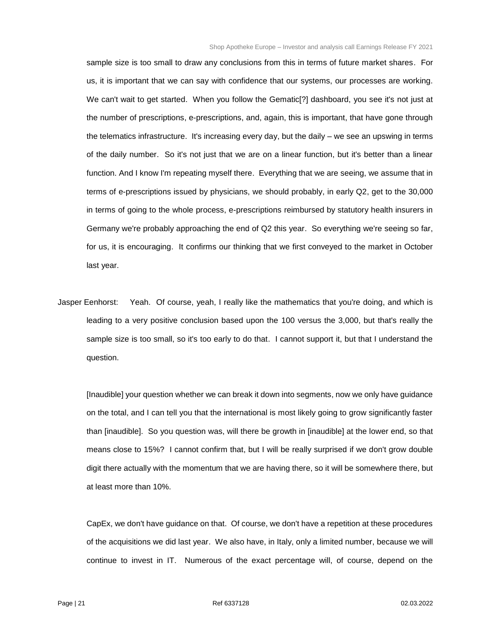sample size is too small to draw any conclusions from this in terms of future market shares. For us, it is important that we can say with confidence that our systems, our processes are working. We can't wait to get started. When you follow the Gematic[?] dashboard, you see it's not just at the number of prescriptions, e-prescriptions, and, again, this is important, that have gone through the telematics infrastructure. It's increasing every day, but the daily – we see an upswing in terms of the daily number. So it's not just that we are on a linear function, but it's better than a linear function. And I know I'm repeating myself there. Everything that we are seeing, we assume that in terms of e-prescriptions issued by physicians, we should probably, in early Q2, get to the 30,000 in terms of going to the whole process, e-prescriptions reimbursed by statutory health insurers in Germany we're probably approaching the end of Q2 this year. So everything we're seeing so far, for us, it is encouraging. It confirms our thinking that we first conveyed to the market in October last year.

Jasper Eenhorst: Yeah. Of course, yeah, I really like the mathematics that you're doing, and which is leading to a very positive conclusion based upon the 100 versus the 3,000, but that's really the sample size is too small, so it's too early to do that. I cannot support it, but that I understand the question.

[Inaudible] your question whether we can break it down into segments, now we only have guidance on the total, and I can tell you that the international is most likely going to grow significantly faster than [inaudible]. So you question was, will there be growth in [inaudible] at the lower end, so that means close to 15%? I cannot confirm that, but I will be really surprised if we don't grow double digit there actually with the momentum that we are having there, so it will be somewhere there, but at least more than 10%.

CapEx, we don't have guidance on that. Of course, we don't have a repetition at these procedures of the acquisitions we did last year. We also have, in Italy, only a limited number, because we will continue to invest in IT. Numerous of the exact percentage will, of course, depend on the